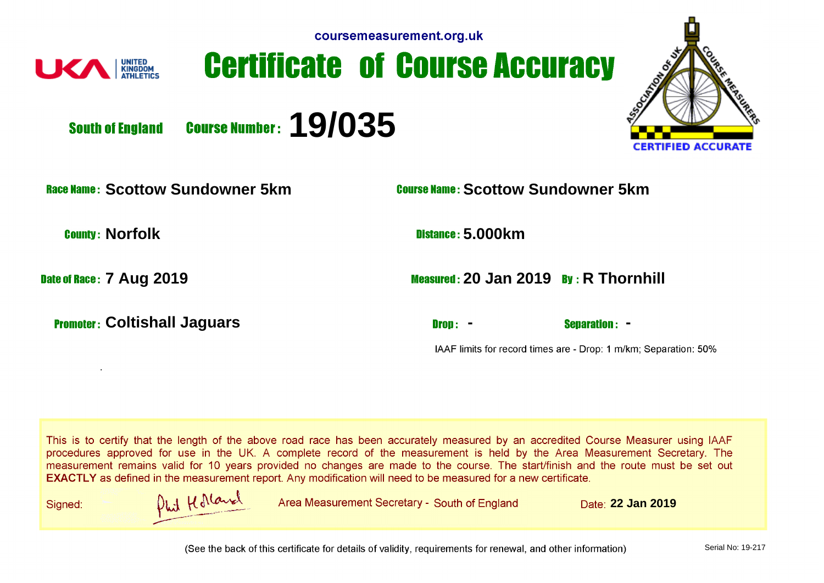





**Course Number: 19/035 South of England** 

**Scottow Sundowner 5km Scottow Sundowner 5km**

.

**Promoter: Coltishall Jaguars and Separation: - Drop: - Separation: -**

**County: Norfolk 5.000km** 

**Date of Race: 7 Aug 2019 2019 20 Jan 2019 By: R Thornhill** 

IAAF limits for record times are - Drop: 1 m/km; Separation: 50%

This is to certify that the length of the above road race has been accurately measured by an accredited Course Measurer using IAAF procedures approved for use in the UK. A complete record of the measurement is held by the Area Measurement Secretary. The measurement remains valid for 10 years provided no changes are made to the course. The start/finish and the route must be set out **EXACTLY** as defined in the measurement report. Any modification will need to be measured for a new certificate.

Signed:

Phil Kolland

Area Measurement Secretary - South of England **Date: 22 Jan 2019** 

(See the back of this certificate for details of validity, requirements for renewal, and other information)